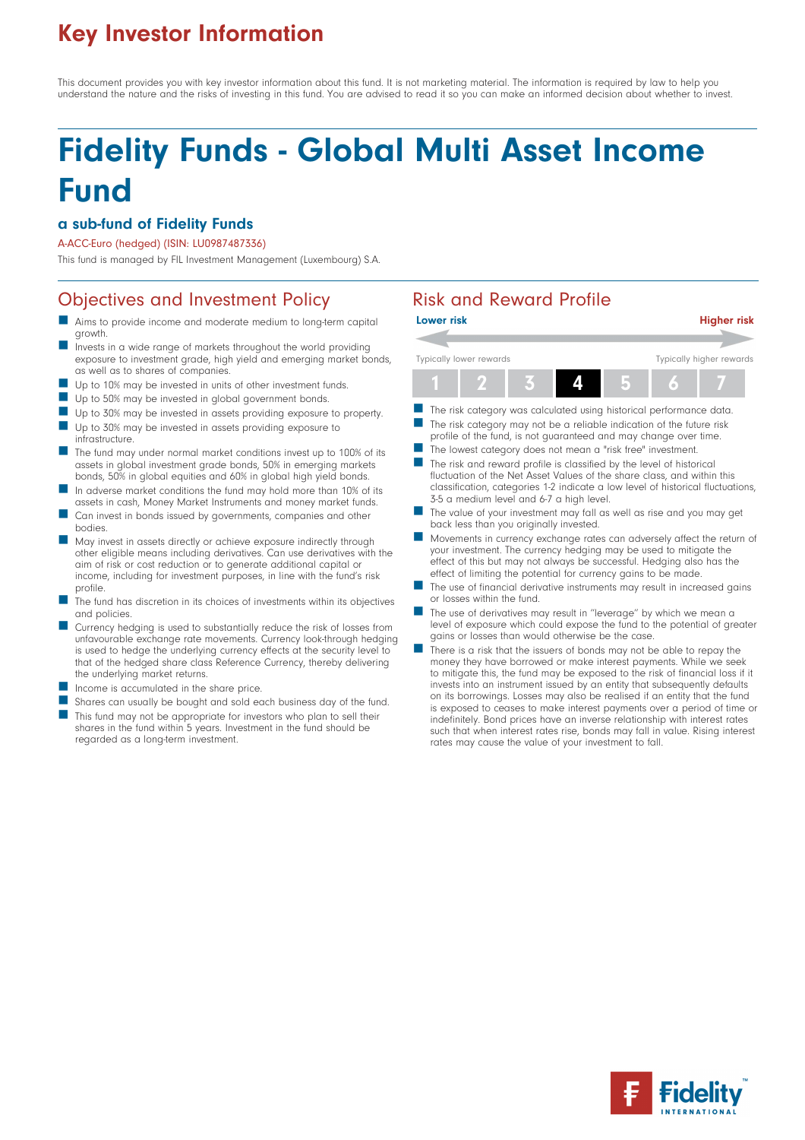## Key Investor Information

This document provides you with key investor information about this fund. It is not marketing material. The information is required by law to help you understand the nature and the risks of investing in this fund. You are advised to read it so you can make an informed decision about whether to invest.

# Fidelity Funds - Global Multi Asset Income Fund

#### a sub-fund of Fidelity Funds

#### A-ACC-Euro (hedged) (ISIN: LU0987487336)

This fund is managed by FIL Investment Management (Luxembourg) S.A.

### Objectives and Investment Policy **Risk and Reward Profile**

- Aims to provide income and moderate medium to long-term capital growth.
- Invests in a wide range of markets throughout the world providing exposure to investment grade, high yield and emerging market bonds, as well as to shares of companies.
- Up to 10% may be invested in units of other investment funds.
- Up to 50% may be invested in global government bonds.
- Up to 30% may be invested in assets providing exposure to property.
- Up to 30% may be invested in assets providing exposure to infrastructure.
- The fund may under normal market conditions invest up to 100% of its assets in global investment grade bonds, 50% in emerging markets bonds, 50% in global equities and 60% in global high yield bonds.
- In adverse market conditions the fund may hold more than 10% of its assets in cash, Money Market Instruments and money market funds.
- Can invest in bonds issued by governments, companies and other bodies.
- n May invest in assets directly or achieve exposure indirectly through other eligible means including derivatives. Can use derivatives with the aim of risk or cost reduction or to generate additional capital or income, including for investment purposes, in line with the fund's risk profile.
- The fund has discretion in its choices of investments within its objectives and policies.
- Currency hedging is used to substantially reduce the risk of losses from unfavourable exchange rate movements. Currency look-through hedging is used to hedge the underlying currency effects at the security level to that of the hedged share class Reference Currency, thereby delivering the underlying market returns.
- Income is accumulated in the share price.
- Shares can usually be bought and sold each business day of the fund. This fund may not be appropriate for investors who plan to sell their shares in the fund within 5 years. Investment in the fund should be regarded as a long-term investment.



- The risk category was calculated using historical performance data. The risk category may not be a reliable indication of the future risk profile of the fund, is not guaranteed and may change over time.
- The lowest category does not mean a "risk free" investment.
- The risk and reward profile is classified by the level of historical fluctuation of the Net Asset Values of the share class, and within this classification, categories 1-2 indicate a low level of historical fluctuations, 3-5 a medium level and 6-7 a high level.
- The value of your investment may fall as well as rise and you may get back less than you originally invested.
- n Movements in currency exchange rates can adversely affect the return of your investment. The currency hedging may be used to mitigate the effect of this but may not always be successful. Hedging also has the effect of limiting the potential for currency gains to be made.
- The use of financial derivative instruments may result in increased gains or losses within the fund.
- The use of derivatives may result in "leverage" by which we mean a level of exposure which could expose the fund to the potential of greater gains or losses than would otherwise be the case.
- There is a risk that the issuers of bonds may not be able to repay the money they have borrowed or make interest payments. While we seek to mitigate this, the fund may be exposed to the risk of financial loss if it invests into an instrument issued by an entity that subsequently defaults on its borrowings. Losses may also be realised if an entity that the fund is exposed to ceases to make interest payments over a period of time or indefinitely. Bond prices have an inverse relationship with interest rates such that when interest rates rise, bonds may fall in value. Rising interest rates may cause the value of your investment to fall.